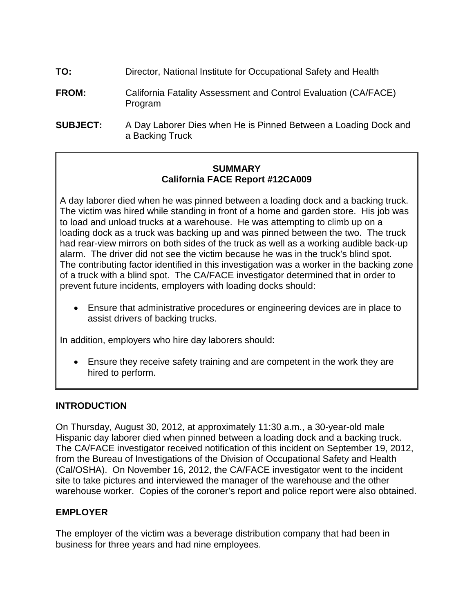- **TO:** Director, National Institute for Occupational Safety and Health
- **FROM:** California Fatality Assessment and Control Evaluation (CA/FACE) Program
- **SUBJECT:** A Day Laborer Dies when He is Pinned Between a Loading Dock and a Backing Truck

#### **SUMMARY California FACE Report #12CA009**

 A day laborer died when he was pinned between a loading dock and a backing truck. The contributing factor identified in this investigation was a worker in the backing zone of a truck with a blind spot. The CA/FACE investigator determined that in order to The victim was hired while standing in front of a home and garden store. His job was to load and unload trucks at a warehouse. He was attempting to climb up on a loading dock as a truck was backing up and was pinned between the two. The truck had rear-view mirrors on both sides of the truck as well as a working audible back-up alarm. The driver did not see the victim because he was in the truck's blind spot. prevent future incidents, employers with loading docks should:

Ensure that administrative procedures or engineering devices are in place to assist drivers of backing trucks.

In addition, employers who hire day laborers should:

• Ensure they receive safety training and are competent in the work they are hired to perform.

## **INTRODUCTION**

 Hispanic day laborer died when pinned between a loading dock and a backing truck. On Thursday, August 30, 2012, at approximately 11:30 a.m., a 30-year-old male The CA/FACE investigator received notification of this incident on September 19, 2012, from the Bureau of Investigations of the Division of Occupational Safety and Health (Cal/OSHA). On November 16, 2012, the CA/FACE investigator went to the incident site to take pictures and interviewed the manager of the warehouse and the other warehouse worker. Copies of the coroner's report and police report were also obtained.

## **EMPLOYER**

The employer of the victim was a beverage distribution company that had been in business for three years and had nine employees.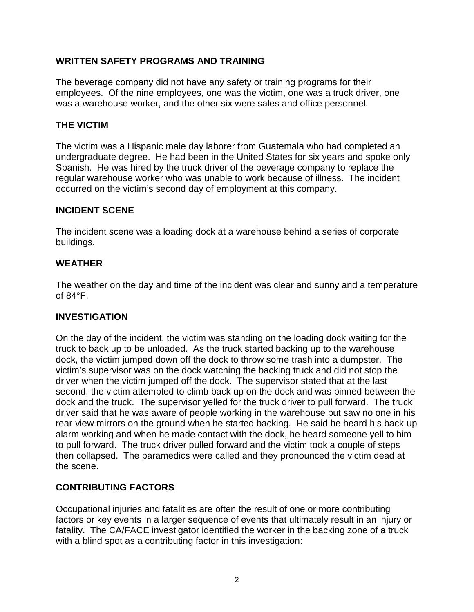## **WRITTEN SAFETY PROGRAMS AND TRAINING**

The beverage company did not have any safety or training programs for their employees. Of the nine employees, one was the victim, one was a truck driver, one was a warehouse worker, and the other six were sales and office personnel.

#### **THE VICTIM**

 regular warehouse worker who was unable to work because of illness. The incident The victim was a Hispanic male day laborer from Guatemala who had completed an undergraduate degree. He had been in the United States for six years and spoke only Spanish. He was hired by the truck driver of the beverage company to replace the occurred on the victim's second day of employment at this company.

#### **INCIDENT SCENE**

 The incident scene was a loading dock at a warehouse behind a series of corporate buildings.

## **WEATHER**

The weather on the day and time of the incident was clear and sunny and a temperature of 84°F.

#### **INVESTIGATION**

 truck to back up to be unloaded. As the truck started backing up to the warehouse dock, the victim jumped down off the dock to throw some trash into a dumpster. The driver when the victim jumped off the dock. The supervisor stated that at the last dock and the truck. The supervisor yelled for the truck driver to pull forward. The truck then collapsed. The paramedics were called and they pronounced the victim dead at On the day of the incident, the victim was standing on the loading dock waiting for the victim's supervisor was on the dock watching the backing truck and did not stop the second, the victim attempted to climb back up on the dock and was pinned between the driver said that he was aware of people working in the warehouse but saw no one in his rear-view mirrors on the ground when he started backing. He said he heard his back-up alarm working and when he made contact with the dock, he heard someone yell to him to pull forward. The truck driver pulled forward and the victim took a couple of steps the scene.

## **CONTRIBUTING FACTORS**

 Occupational injuries and fatalities are often the result of one or more contributing fatality. The CA/FACE investigator identified the worker in the backing zone of a truck factors or key events in a larger sequence of events that ultimately result in an injury or with a blind spot as a contributing factor in this investigation: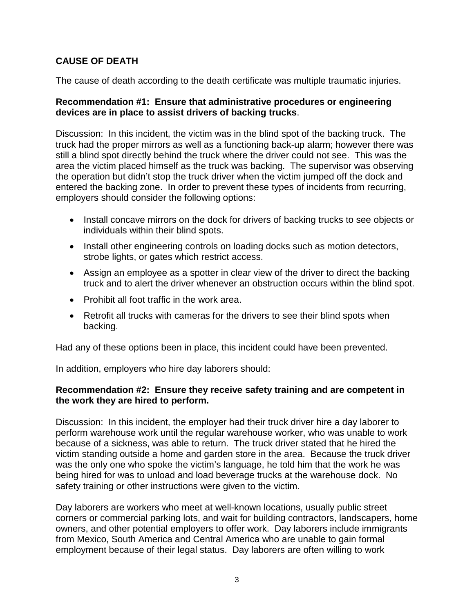## **CAUSE OF DEATH**

The cause of death according to the death certificate was multiple traumatic injuries.

#### **Recommendation #1: Ensure that administrative procedures or engineering devices are in place to assist drivers of backing trucks**.

 Discussion: In this incident, the victim was in the blind spot of the backing truck. The still a blind spot directly behind the truck where the driver could not see. This was the area the victim placed himself as the truck was backing. The supervisor was observing the operation but didn't stop the truck driver when the victim jumped off the dock and entered the backing zone. In order to prevent these types of incidents from recurring, truck had the proper mirrors as well as a functioning back-up alarm; however there was employers should consider the following options:

- Install concave mirrors on the dock for drivers of backing trucks to see objects or individuals within their blind spots.
- Install other engineering controls on loading docks such as motion detectors, strobe lights, or gates which restrict access.
- Assign an employee as a spotter in clear view of the driver to direct the backing truck and to alert the driver whenever an obstruction occurs within the blind spot.
- Prohibit all foot traffic in the work area.
- Retrofit all trucks with cameras for the drivers to see their blind spots when backing.

Had any of these options been in place, this incident could have been prevented.

In addition, employers who hire day laborers should:

#### **Recommendation #2: Ensure they receive safety training and are competent in the work they are hired to perform.**

 Discussion: In this incident, the employer had their truck driver hire a day laborer to because of a sickness, was able to return. The truck driver stated that he hired the victim standing outside a home and garden store in the area. Because the truck driver safety training or other instructions were given to the victim. perform warehouse work until the regular warehouse worker, who was unable to work was the only one who spoke the victim's language, he told him that the work he was being hired for was to unload and load beverage trucks at the warehouse dock. No

 owners, and other potential employers to offer work. Day laborers include immigrants employment because of their legal status. Day laborers are often willing to work Day laborers are workers who meet at well-known locations, usually public street corners or commercial parking lots, and wait for building contractors, landscapers, home from Mexico, South America and Central America who are unable to gain formal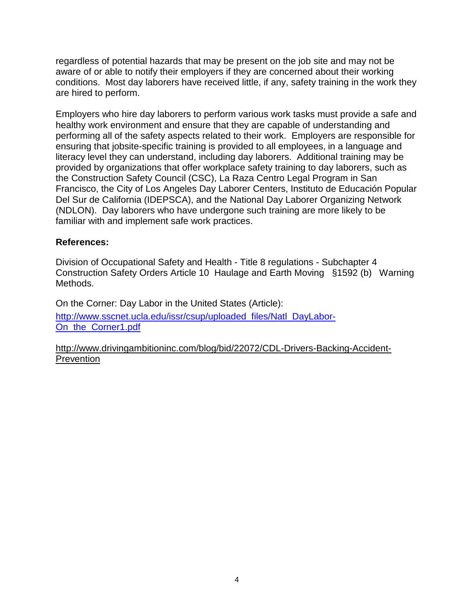regardless of potential hazards that may be present on the job site and may not be aware of or able to notify their employers if they are concerned about their working conditions. Most day laborers have received little, if any, safety training in the work they are hired to perform.

 provided by organizations that offer workplace safety training to day laborers, such as familiar with and implement safe work practices. Employers who hire day laborers to perform various work tasks must provide a safe and healthy work environment and ensure that they are capable of understanding and performing all of the safety aspects related to their work. Employers are responsible for ensuring that jobsite-specific training is provided to all employees, in a language and literacy level they can understand, including day laborers. Additional training may be the Construction Safety Council (CSC), La Raza Centro Legal Program in San Francisco, the City of Los Angeles Day Laborer Centers, Instituto de Educación Popular Del Sur de California (IDEPSCA), and the National Day Laborer Organizing Network (NDLON). Day laborers who have undergone such training are more likely to be

## **References:**

 Construction Safety Orders Article 10 Haulage and Earth Moving §1592 (b) Warning Division of Occupational Safety and Health - Title 8 regulations - Subchapter 4 Methods.

On the Corner: Day Labor in the United States (Article): [http://www.sscnet.ucla.edu/issr/csup/uploaded\\_files/Natl\\_DayLabor-](http://www.sscnet.ucla.edu/issr/csup/uploaded_files/Natl_DayLabor-On_the_Corner1.pdf)On the Corner1.pdf

[http://www.drivingambitioninc.com/blog/bid/22072/CDL-Drivers-Backing-Accident-](http://www.drivingambitioninc.com/blog/bid/22072/CDL-Drivers-Backing-Accident-Prevention)**Prevention**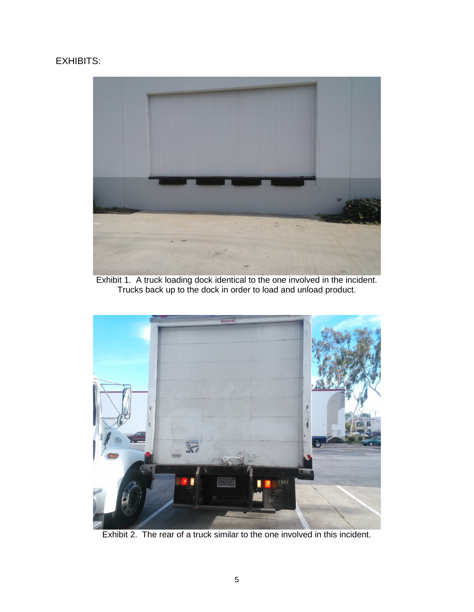# EXHIBITS:



Exhibit 1. A truck loading dock identical to the one involved in the incident. Trucks back up to the dock in order to load and unload product.



Exhibit 2. The rear of a truck similar to the one involved in this incident.